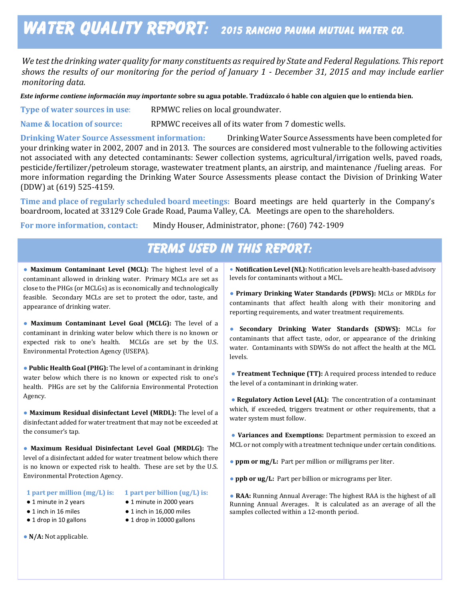# WATER QUALITY REPORT: 2015 RANCHO PAUMA MUTUAL WATER CO.

*We test the drinking water quality for many constituents as required by State and Federal Regulations. This report shows the results of our monitoring for the period of January 1 - December 31, 2015 and may include earlier monitoring data.*

*Este informe contiene información muy importante* **sobre su agua potable. Tradúzcalo ó hable con alguien que lo entienda bien.**

**Type of water sources in use:** RPMWC relies on local groundwater.

**Name & location of source:** RPMWC receives all of its water from 7 domestic wells.

**Drinking Water Source Assessment information:** Drinking Water Source Assessments have been completed for your drinking water in 2002, 2007 and in 2013. The sources are considered most vulnerable to the following activities not associated with any detected contaminants: Sewer collection systems, agricultural/irrigation wells, paved roads, pesticide/fertilizer/petroleum storage, wastewater treatment plants, an airstrip, and maintenance /fueling areas. For more information regarding the Drinking Water Source Assessments please contact the Division of Drinking Water (DDW) at (619) 525-4159.

**Time and place of regularly scheduled board meetings:** Board meetings are held quarterly in the Company's boardroom, located at 33129 Cole Grade Road, Pauma Valley, CA. Meetings are open to the shareholders.

**For more information, contact:** Mindy Houser, Administrator, phone: (760) 742-1909

Terms Used In This Report:

 close to the PHGs (or MCLGs) as is economically and technologically ● **Maximum Contaminant Level (MCL):** The highest level of a contaminant allowed in drinking water. Primary MCLs are set as feasible. Secondary MCLs are set to protect the odor, taste, and appearance of drinking water.

● **Maximum Contaminant Level Goal (MCLG):** The level of a contaminant in drinking water below which there is no known or expected risk to one's health. MCLGs are set by the U.S. Environmental Protection Agency (USEPA).

● **Public Health Goal (PHG):** The level of a contaminant in drinking water below which there is no known or expected risk to one's health. PHGs are set by the California Environmental Protection Agency.

● **Maximum Residual disinfectant Level (MRDL):** The level of a disinfectant added for water treatment that may not be exceeded at the consumer's tap.

● **Maximum Residual Disinfectant Level Goal (MRDLG):** The level of a disinfectant added for water treatment below which there is no known or expected risk to health. These are set by the U.S. Environmental Protection Agency.

### **1 part per million (mg/L) is: 1 part per billion (ug/L) is:**

- 1 inch in 16 miles  **1** inch in 16,000 miles
- 1 minute in 2 years 1 minute in 2000 years
- 
- to contain small amounts of some contaminants. The presence of contaminants does not necessarily indicate that the ● 1 drop in 10 gallons ● 1 drop in 10000 gallons
- **N/A:** Not applicable.

**• Notification Level (NL):** Notification levels are health-based advisory levels for contaminants without a MCL.

● **Primary Drinking Water Standards (PDWS):** MCLs or MRDLs for contaminants that affect health along with their monitoring and reporting requirements, and water treatment requirements.

● **Secondary Drinking Water Standards (SDWS):** MCLs for contaminants that affect taste, odor, or appearance of the drinking water. Contaminants with SDWSs do not affect the health at the MCL levels.

● **Treatment Technique (TT):** A required process intended to reduce the level of a contaminant in drinking water.

● **Regulatory Action Level (AL):** The concentration of a contaminant which, if exceeded, triggers treatment or other requirements, that a water system must follow.

● **Variances and Exemptions:** Department permission to exceed an MCL or not comply with a treatment technique under certain conditions.

● **ppm or mg/L:** Part per million or milligrams per liter.

- **ppb or ug/L:** Part per billion or micrograms per liter.
- $\bullet$  1 inch in 16 miles  $\bullet$  1 inch in 16,000 miles samples collected within a 12-month period. ● **RAA:** Running Annual Average: The highest RAA is the highest of all Running Annual Averages. It is calculated as an average of all the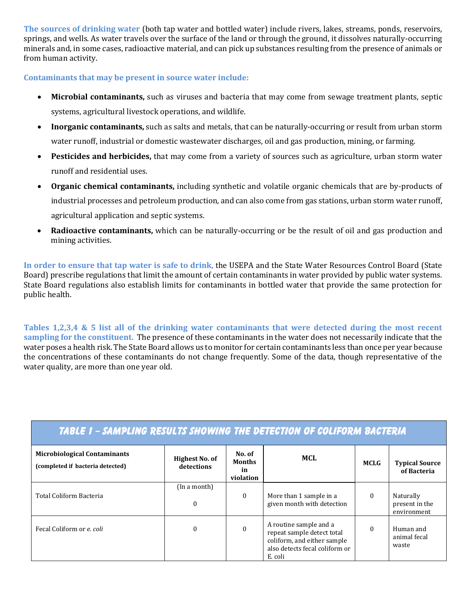**The sources of drinking water** (both tap water and bottled water) include rivers, lakes, streams, ponds, reservoirs, springs, and wells. As water travels over the surface of the land or through the ground, it dissolves naturally-occurring minerals and, in some cases, radioactive material, and can pick up substances resulting from the presence of animals or from human activity.

**Contaminants that may be present in source water include:** 

- **Microbial contaminants,** such as viruses and bacteria that may come from sewage treatment plants, septic systems, agricultural livestock operations, and wildlife.
- **Inorganic contaminants,** such as salts and metals, that can be naturally-occurring or result from urban storm water runoff, industrial or domestic wastewater discharges, oil and gas production, mining, or farming.
- **Pesticides and herbicides,** that may come from a variety of sources such as agriculture, urban storm water runoff and residential uses.
- **Organic chemical contaminants,** including synthetic and volatile organic chemicals that are by-products of industrial processes and petroleum production, and can also come from gas stations, urban storm water runoff, agricultural application and septic systems.
- **Radioactive contaminants,** which can be naturally-occurring or be the result of oil and gas production and mining activities.

**In order to ensure that tap water is safe to drink**, the USEPA and the State Water Resources Control Board (State Board) prescribe regulations that limit the amount of certain contaminants in water provided by public water systems. State Board regulations also establish limits for contaminants in bottled water that provide the same protection for public health.

**Tables 1,2,3,4 & 5 list all of the drinking water contaminants that were detected during the most recent sampling for the constituent.** The presence of these contaminants in the water does not necessarily indicate that the water poses a health risk. The State Board allows us to monitor for certain contaminants less than once per year because the concentrations of these contaminants do not change frequently. Some of the data, though representative of the water quality, are more than one year old.

| TABLE 1 - SAMPLING RESULTS SHOWING THE DETECTION OF COLIFORM BACTERIA   |                                     |                                            |                                                                                                                                  |             |                                            |  |  |  |
|-------------------------------------------------------------------------|-------------------------------------|--------------------------------------------|----------------------------------------------------------------------------------------------------------------------------------|-------------|--------------------------------------------|--|--|--|
| <b>Microbiological Contaminants</b><br>(completed if bacteria detected) | <b>Highest No. of</b><br>detections | No. of<br><b>Months</b><br>in<br>violation | <b>MCL</b>                                                                                                                       | <b>MCLG</b> | <b>Typical Source</b><br>of Bacteria       |  |  |  |
| Total Coliform Bacteria                                                 | (In a month)<br>$\theta$            | $\theta$                                   | More than 1 sample in a<br>given month with detection                                                                            | $\theta$    | Naturally<br>present in the<br>environment |  |  |  |
| Fecal Coliform or e. coli                                               | $\theta$                            | $\mathbf{0}$                               | A routine sample and a<br>repeat sample detect total<br>coliform, and either sample<br>also detects fecal coliform or<br>E. coli | $\Omega$    | Human and<br>animal fecal<br>waste         |  |  |  |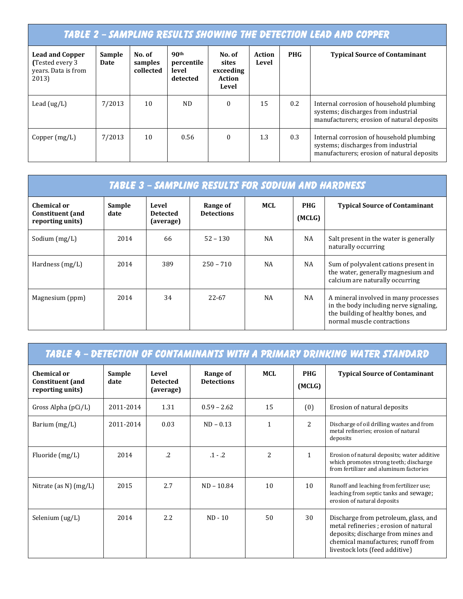## TABLE 2 – SAMPLING RESULTS SHOWING THE DETECTION LEAD AND COPPER

| <b>Lead and Copper</b><br>(Tested every 3)<br>years. Data is from<br>2013) | Sample<br>Date | No. of<br>samples<br>collected | 90 <sup>th</sup><br>percentile<br>level<br>detected | No. of<br>sites<br>exceeding<br>Action<br>Level | Action<br>Level | <b>PHG</b> | <b>Typical Source of Contaminant</b>                                                                                          |
|----------------------------------------------------------------------------|----------------|--------------------------------|-----------------------------------------------------|-------------------------------------------------|-----------------|------------|-------------------------------------------------------------------------------------------------------------------------------|
| Lead $(ug/L)$                                                              | 7/2013         | 10                             | <b>ND</b>                                           | $\mathbf{0}$                                    | 15              | 0.2        | Internal corrosion of household plumbing<br>systems; discharges from industrial<br>manufacturers; erosion of natural deposits |
| Copper $(mg/L)$                                                            | 7/2013         | 10                             | 0.56                                                | $\mathbf{0}$                                    | 1.3             | 0.3        | Internal corrosion of household plumbing<br>systems; discharges from industrial<br>manufacturers; erosion of natural deposits |

| TABLE 3 - SAMPLING RESULTS FOR SODIUM AND HARDNESS         |                |                                       |                               |           |                      |                                                                                                                                                    |  |
|------------------------------------------------------------|----------------|---------------------------------------|-------------------------------|-----------|----------------------|----------------------------------------------------------------------------------------------------------------------------------------------------|--|
| Chemical or<br><b>Constituent</b> (and<br>reporting units) | Sample<br>date | Level<br><b>Detected</b><br>(average) | Range of<br><b>Detections</b> | MCL       | <b>PHG</b><br>(MCLG) | <b>Typical Source of Contaminant</b>                                                                                                               |  |
| Sodium $(mg/L)$                                            | 2014           | 66                                    | $52 - 130$                    | <b>NA</b> | NA                   | Salt present in the water is generally<br>naturally occurring                                                                                      |  |
| Hardness $(mg/L)$                                          | 2014           | 389                                   | $250 - 710$                   | NA        | NA                   | Sum of polyvalent cations present in<br>the water, generally magnesium and<br>calcium are naturally occurring                                      |  |
| Magnesium (ppm)                                            | 2014           | 34                                    | $22 - 67$                     | <b>NA</b> | NA                   | A mineral involved in many processes<br>in the body including nerve signaling,<br>the building of healthy bones, and<br>normal muscle contractions |  |

| TABLE 4 - DETECTION OF CONTAMINANTS WITH A PRIMARY DRINKING WATER STANDARD |                |                                       |                               |                |                      |                                                                                                                                                                                             |  |
|----------------------------------------------------------------------------|----------------|---------------------------------------|-------------------------------|----------------|----------------------|---------------------------------------------------------------------------------------------------------------------------------------------------------------------------------------------|--|
| Chemical or<br><b>Constituent</b> (and<br>reporting units)                 | Sample<br>date | Level<br><b>Detected</b><br>(average) | Range of<br><b>Detections</b> | <b>MCL</b>     | <b>PHG</b><br>(MCLG) | <b>Typical Source of Contaminant</b>                                                                                                                                                        |  |
| Gross Alpha (pCi/L)                                                        | 2011-2014      | 1.31                                  | $0.59 - 2.62$                 | 15             | (0)                  | Erosion of natural deposits                                                                                                                                                                 |  |
| Barium (mg/L)                                                              | 2011-2014      | 0.03                                  | $ND - 0.13$                   | $\mathbf{1}$   | 2                    | Discharge of oil drilling wastes and from<br>metal refineries; erosion of natural<br>deposits                                                                                               |  |
| Fluoride (mg/L)                                                            | 2014           | $\overline{\mathcal{L}}$              | $.1 - .2$                     | $\overline{2}$ | $\mathbf{1}$         | Erosion of natural deposits; water additive<br>which promotes strong teeth; discharge<br>from fertilizer and aluminum factories                                                             |  |
| Nitrate (as N) (mg/L)                                                      | 2015           | 2.7                                   | $ND - 10.84$                  | 10             | 10                   | Runoff and leaching from fertilizer use;<br>leaching from septic tanks and sewage;<br>erosion of natural deposits                                                                           |  |
| Selenium (ug/L)                                                            | 2014           | 2.2                                   | $ND - 10$                     | 50             | 30                   | Discharge from petroleum, glass, and<br>metal refineries ; erosion of natural<br>deposits; discharge from mines and<br>chemical manufactures; runoff from<br>livestock lots (feed additive) |  |